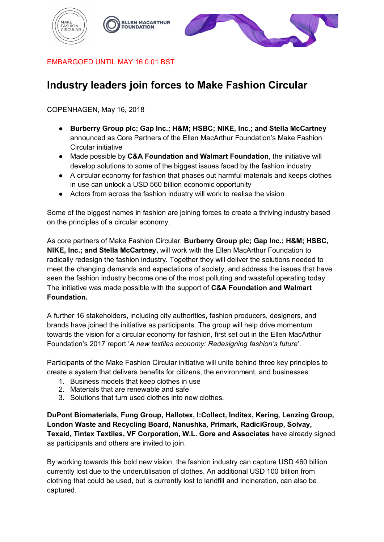





EMBARGOED UNTIL MAY 16 0:01 BST

# **Industry leaders join forces to Make Fashion Circular**

COPENHAGEN, May 16, 2018

- **Burberry Group plc; Gap Inc.; H&M; HSBC; NIKE, Inc.; and Stella McCartney**  announced as Core Partners of the Ellen MacArthur Foundation's Make Fashion Circular initiative
- Made possible by **C&A Foundation and Walmart Foundation**, the initiative will develop solutions to some of the biggest issues faced by the fashion industry
- A circular economy for fashion that phases out harmful materials and keeps clothes in use can unlock a USD 560 billion economic opportunity
- Actors from across the fashion industry will work to realise the vision

Some of the biggest names in fashion are joining forces to create a thriving industry based on the principles of a circular economy.

As core partners of Make Fashion Circular, **Burberry Group plc; Gap Inc.; H&M; HSBC, NIKE, Inc.; and Stella McCartney,** will work with the Ellen MacArthur Foundation to radically redesign the fashion industry. Together they will deliver the solutions needed to meet the changing demands and expectations of society, and address the issues that have seen the fashion industry become one of the most polluting and wasteful operating today. The initiative was made possible with the support of **C&A Foundation and Walmart Foundation.**

A further 16 stakeholders, including city authorities, fashion producers, designers, and brands have joined the initiative as participants. The group will help drive momentum towards the vision for a circular economy for fashion, first set out in the Ellen MacArthur Foundation's 2017 report '*A new textiles economy: Redesigning fashion's future*'.

Participants of the Make Fashion Circular initiative will unite behind three key principles to create a system that delivers benefits for citizens, the environment, and businesses:

- 1. Business models that keep clothes in use
- 2. Materials that are renewable and safe
- 3. Solutions that turn used clothes into new clothes.

**DuPont Biomaterials, Fung Group, Hallotex, I:Collect, Inditex, Kering, Lenzing Group, London Waste and Recycling Board, Nanushka, Primark, RadiciGroup, Solvay, Texaid, Tintex Textiles, VF Corporation, W.L. Gore and Associates** have already signed as participants and others are invited to join.

By working towards this bold new vision, the fashion industry can capture USD 460 billion currently lost due to the underutilisation of clothes. An additional USD 100 billion from clothing that could be used, but is currently lost to landfill and incineration, can also be captured.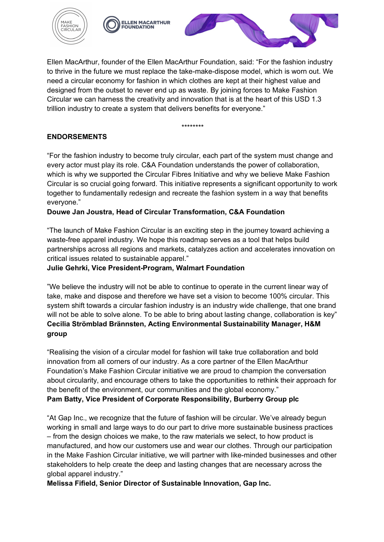



Ellen MacArthur, founder of the Ellen MacArthur Foundation, said: "For the fashion industry to thrive in the future we must replace the take-make-dispose model, which is worn out. We need a circular economy for fashion in which clothes are kept at their highest value and designed from the outset to never end up as waste. By joining forces to Make Fashion Circular we can harness the creativity and innovation that is at the heart of this USD 1.3 trillion industry to create a system that delivers benefits for everyone."

\*\*\*\*\*\*\*\*

# **ENDORSEMENTS**

"For the fashion industry to become truly circular, each part of the system must change and every actor must play its role. C&A Foundation understands the power of collaboration, which is why we supported the Circular Fibres Initiative and why we believe Make Fashion Circular is so crucial going forward. This initiative represents a significant opportunity to work together to fundamentally redesign and recreate the fashion system in a way that benefits everyone."

## **Douwe Jan Joustra, Head of Circular Transformation, C&A Foundation**

"The launch of Make Fashion Circular is an exciting step in the journey toward achieving a waste-free apparel industry. We hope this roadmap serves as a tool that helps build partnerships across all regions and markets, catalyzes action and accelerates innovation on critical issues related to sustainable apparel."

## **Julie Gehrki, Vice President-Program, Walmart Foundation**

"We believe the industry will not be able to continue to operate in the current linear way of take, make and dispose and therefore we have set a vision to become 100% circular. This system shift towards a circular fashion industry is an industry wide challenge, that one brand will not be able to solve alone. To be able to bring about lasting change, collaboration is key" **Cecilia Strömblad Brännsten, Acting Environmental Sustainability Manager, H&M group**

"Realising the vision of a circular model for fashion will take true collaboration and bold innovation from all corners of our industry. As a core partner of the Ellen MacArthur Foundation's Make Fashion Circular initiative we are proud to champion the conversation about circularity, and encourage others to take the opportunities to rethink their approach for the benefit of the environment, our communities and the global economy."

### **Pam Batty, Vice President of Corporate Responsibility, Burberry Group plc**

"At Gap Inc., we recognize that the future of fashion will be circular. We've already begun working in small and large ways to do our part to drive more sustainable business practices – from the design choices we make, to the raw materials we select, to how product is manufactured, and how our customers use and wear our clothes. Through our participation in the Make Fashion Circular initiative, we will partner with like-minded businesses and other stakeholders to help create the deep and lasting changes that are necessary across the global apparel industry."

**Melissa Fifield, Senior Director of Sustainable Innovation, Gap Inc.**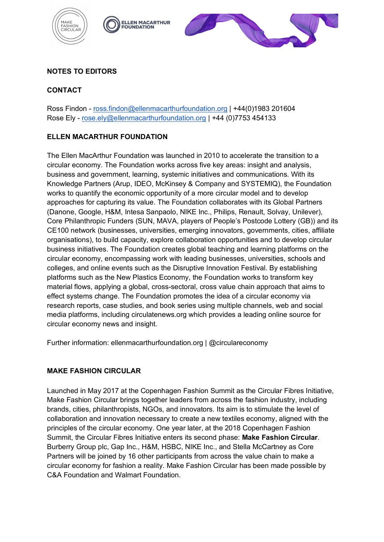





# **NOTES TO EDITORS**

## **CONTACT**

Ross Findon - ross.findon@ellenmacarthurfoundation.org | +44(0)1983 201604 Rose Ely - rose.ely@ellenmacarthurfoundation.org | +44 (0)7753 454133

## **ELLEN MACARTHUR FOUNDATION**

The Ellen MacArthur Foundation was launched in 2010 to accelerate the transition to a circular economy. The Foundation works across five key areas: insight and analysis, business and government, learning, systemic initiatives and communications. With its Knowledge Partners (Arup, IDEO, McKinsey & Company and SYSTEMIQ), the Foundation works to quantify the economic opportunity of a more circular model and to develop approaches for capturing its value. The Foundation collaborates with its Global Partners (Danone, Google, H&M, Intesa Sanpaolo, NIKE Inc., Philips, Renault, Solvay, Unilever), Core Philanthropic Funders (SUN, MAVA, players of People's Postcode Lottery (GB)) and its CE100 network (businesses, universities, emerging innovators, governments, cities, affiliate organisations), to build capacity, explore collaboration opportunities and to develop circular business initiatives. The Foundation creates global teaching and learning platforms on the circular economy, encompassing work with leading businesses, universities, schools and colleges, and online events such as the Disruptive Innovation Festival. By establishing platforms such as the New Plastics Economy, the Foundation works to transform key material flows, applying a global, cross-sectoral, cross value chain approach that aims to effect systems change. The Foundation promotes the idea of a circular economy via research reports, case studies, and book series using multiple channels, web and social media platforms, including circulatenews.org which provides a leading online source for circular economy news and insight.

Further information: ellenmacarthurfoundation.org | @circulareconomy

### **MAKE FASHION CIRCULAR**

Launched in May 2017 at the Copenhagen Fashion Summit as the Circular Fibres Initiative, Make Fashion Circular brings together leaders from across the fashion industry, including brands, cities, philanthropists, NGOs, and innovators. Its aim is to stimulate the level of collaboration and innovation necessary to create a new textiles economy, aligned with the principles of the circular economy. One year later, at the 2018 Copenhagen Fashion Summit, the Circular Fibres Initiative enters its second phase: **Make Fashion Circular**. Burberry Group plc, Gap Inc., H&M, HSBC, NIKE Inc., and Stella McCartney as Core Partners will be joined by 16 other participants from across the value chain to make a circular economy for fashion a reality. Make Fashion Circular has been made possible by C&A Foundation and Walmart Foundation.